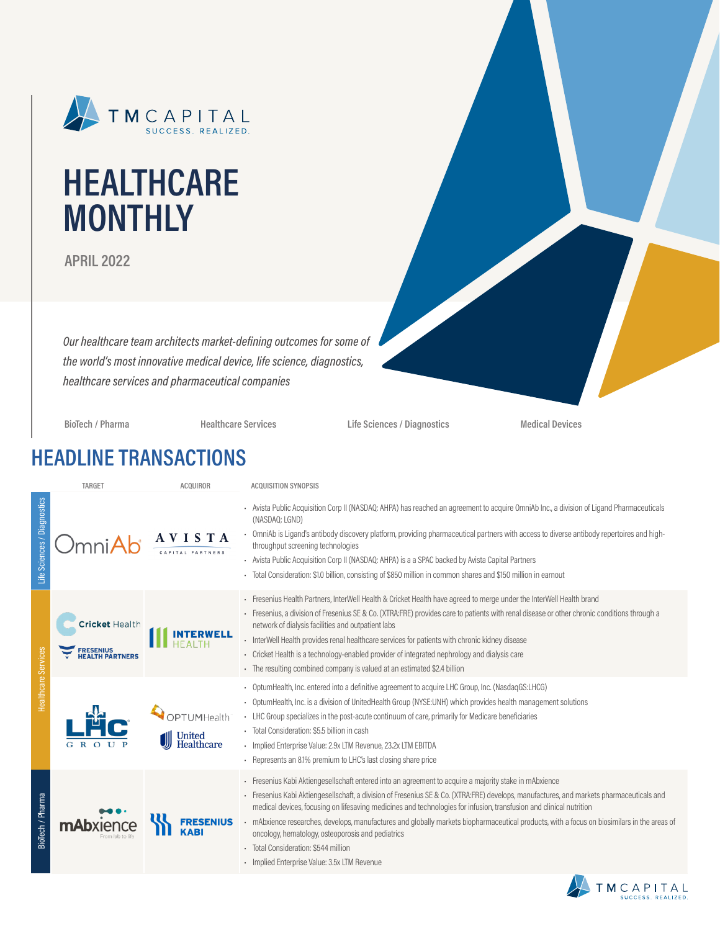

# **HEALTHCARE MONTHLY**

**APRIL 2022**

*Our healthcare team architects market-defining outcomes for some of the world's most innovative medical device, life science, diagnostics, healthcare services and pharmaceutical companies*

**BioTech / Pharma Healthcare Services Life Sciences / Diagnostics Medical Devices**

### **HEADLINE TRANSACTIONS**

|                             | TARGET                                                           | <b>ACQUIROR</b> | <b>ACQUISITION SYNOPSIS</b>                                                                                                                                                                                                                                                                                                                                                                                                                                                                                                                                                                                                                                     |
|-----------------------------|------------------------------------------------------------------|-----------------|-----------------------------------------------------------------------------------------------------------------------------------------------------------------------------------------------------------------------------------------------------------------------------------------------------------------------------------------------------------------------------------------------------------------------------------------------------------------------------------------------------------------------------------------------------------------------------------------------------------------------------------------------------------------|
| Life Sciences / Diagnostics | nni $\bm{\mathsf{A}}$                                            |                 | Avista Public Acquisition Corp II (NASDAQ: AHPA) has reached an agreement to acquire OmniAb Inc., a division of Ligand Pharmaceuticals<br>(NASDAQ: LGND)<br>OmniAb is Ligand's antibody discovery platform, providing pharmaceutical partners with access to diverse antibody repertoires and high-<br>throughput screening technologies<br>- Avista Public Acquisition Corp II (NASDAQ: AHPA) is a a SPAC backed by Avista Capital Partners<br>Total Consideration: \$1.0 billion, consisting of \$850 million in common shares and \$150 million in earnout                                                                                                   |
| <b>Healthcare Services</b>  | <b>Cricket Health</b><br><b>ESENIUS</b><br><b>EALTH PARTNERS</b> |                 | Fresenius Health Partners, InterWell Health & Cricket Health have agreed to merge under the InterWell Health brand<br>Fresenius, a division of Fresenius SE & Co. (XTRA:FRE) provides care to patients with renal disease or other chronic conditions through a<br>network of dialysis facilities and outpatient labs<br>InterWell Health provides renal healthcare services for patients with chronic kidney disease<br>Cricket Health is a technology-enabled provider of integrated nephrology and dialysis care<br>The resulting combined company is valued at an estimated \$2.4 billion                                                                   |
|                             |                                                                  | PTUMHealth      | OptumHealth, Inc. entered into a definitive agreement to acquire LHC Group, Inc. (NasdaqGS:LHCG)<br>OptumHealth, Inc. is a division of UnitedHealth Group (NYSE:UNH) which provides health management solutions<br>- LHC Group specializes in the post-acute continuum of care, primarily for Medicare beneficiaries<br>Total Consideration: \$5.5 billion in cash<br>- Implied Enterprise Value: 2.9x LTM Revenue, 23.2x LTM EBITDA<br>- Represents an 8.1% premium to LHC's last closing share price                                                                                                                                                          |
| BioTech / Pharma            | mAb                                                              |                 | - Fresenius Kabi Aktiengesellschaft entered into an agreement to acquire a majority stake in mAbxience<br>Fresenius Kabi Aktiengesellschaft, a division of Fresenius SE & Co. (XTRA:FRE) develops, manufactures, and markets pharmaceuticals and<br>medical devices, focusing on lifesaving medicines and technologies for infusion, transfusion and clinical nutrition<br>mAbxience researches, develops, manufactures and globally markets biopharmaceutical products, with a focus on biosimilars in the areas of<br>oncology, hematology, osteoporosis and pediatrics<br>Total Consideration: \$544 million<br>- Implied Enterprise Value: 3.5x LTM Revenue |

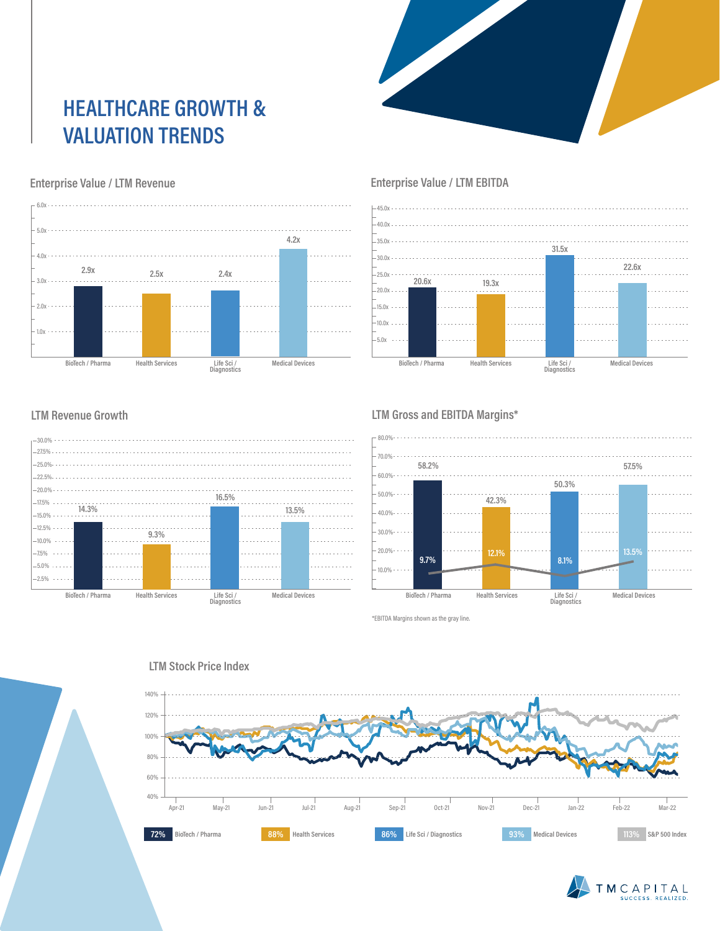# **HEALTHCARE GROWTH & VALUATION TRENDS**



#### **Enterprise Value / LTM Revenue**



#### **Enterprise Value / LTM EBITDA**



#### **LTM Revenue Growth**



#### **LTM Gross and EBITDA Margins\***



\*EBITDA Margins shown as the gray line.



## TMCAPITAL